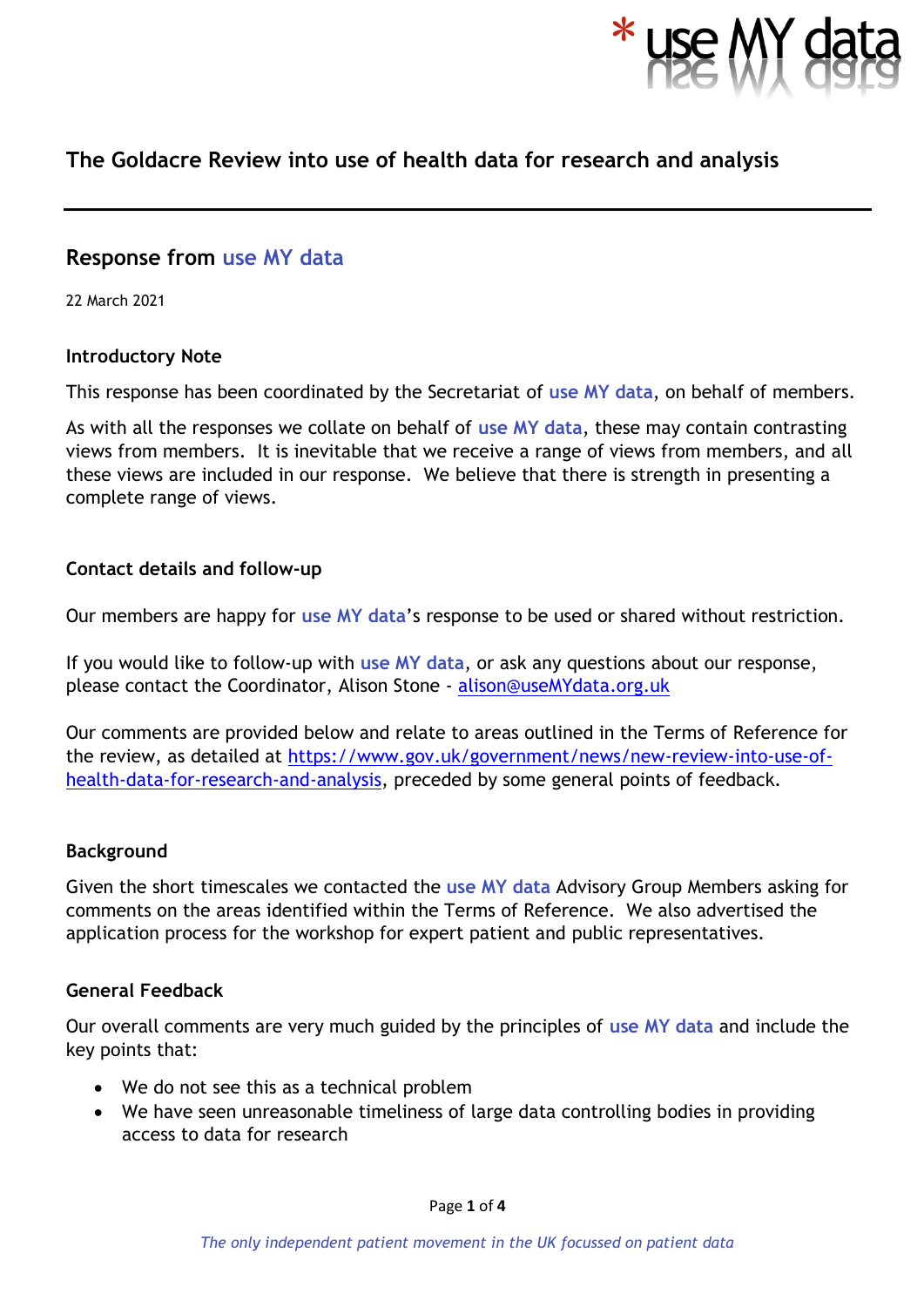

# **The Goldacre Review into use of health data for research and analysis**

## **Response from use MY data**

22 March 2021

#### **Introductory Note**

This response has been coordinated by the Secretariat of **use MY data**, on behalf of members.

As with all the responses we collate on behalf of **use MY data**, these may contain contrasting views from members. It is inevitable that we receive a range of views from members, and all these views are included in our response. We believe that there is strength in presenting a complete range of views.

#### **Contact details and follow-up**

Our members are happy for **use MY data**'s response to be used or shared without restriction.

If you would like to follow-up with **use MY data**, or ask any questions about our response, please contact the Coordinator, Alison Stone - [alison@useMYdata.org.uk](mailto:alison@useMYdata.org.uk)

Our comments are provided below and relate to areas outlined in the Terms of Reference for the review, as detailed at [https://www.gov.uk/government/news/new-review-into-use-of](https://www.gov.uk/government/news/new-review-into-use-of-health-data-for-research-and-analysis)[health-data-for-research-and-analysis,](https://www.gov.uk/government/news/new-review-into-use-of-health-data-for-research-and-analysis) preceded by some general points of feedback.

#### **Background**

Given the short timescales we contacted the **use MY data** Advisory Group Members asking for comments on the areas identified within the Terms of Reference. We also advertised the application process for the workshop for expert patient and public representatives.

#### **General Feedback**

Our overall comments are very much guided by the principles of **use MY data** and include the key points that:

- We do not see this as a technical problem
- We have seen unreasonable timeliness of large data controlling bodies in providing access to data for research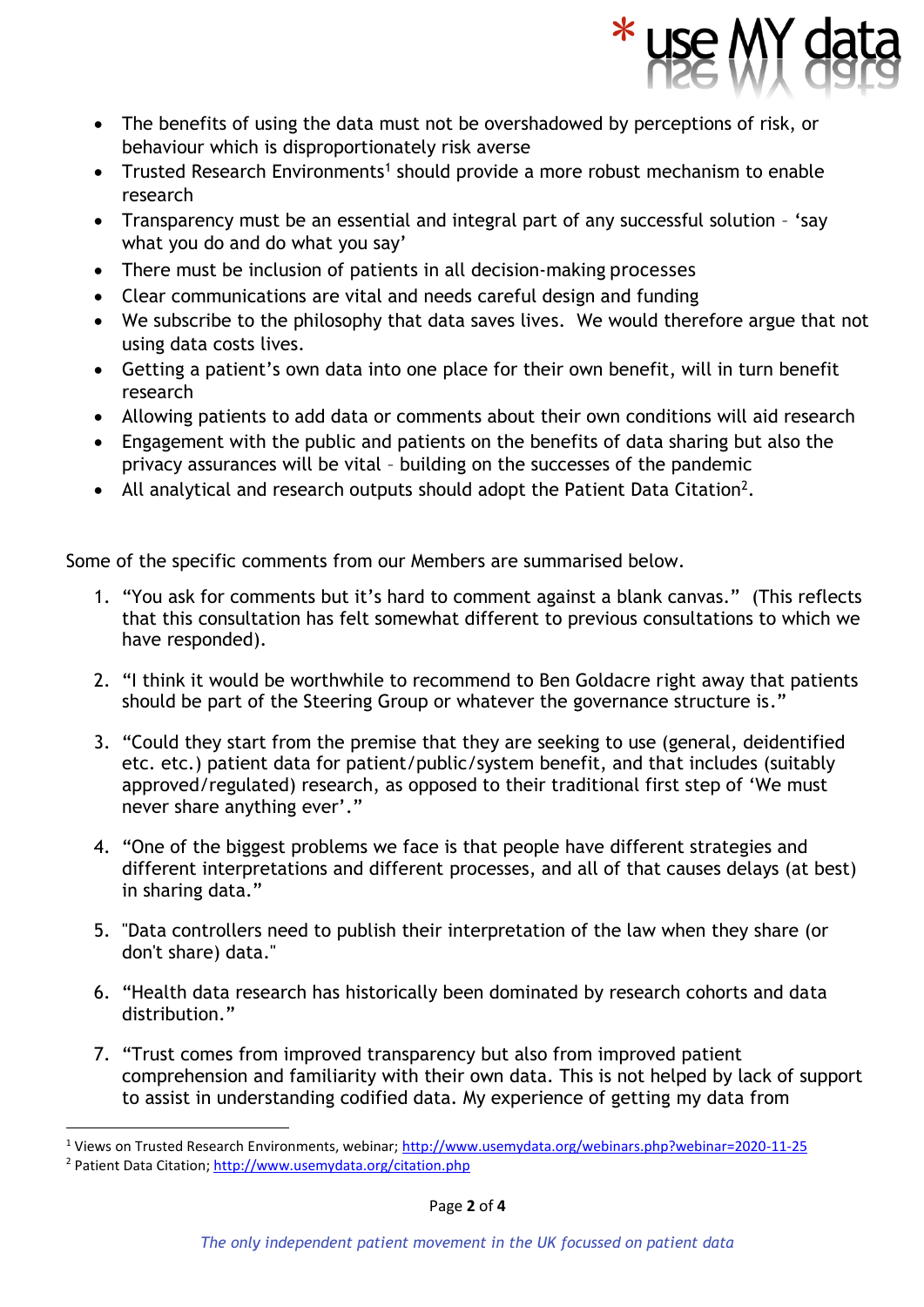

- The benefits of using the data must not be overshadowed by perceptions of risk, or behaviour which is disproportionately risk averse
- Trusted Research Environments<sup>1</sup> should provide a more robust mechanism to enable research
- Transparency must be an essential and integral part of any successful solution 'say what you do and do what you say'
- There must be inclusion of patients in all decision-making processes
- Clear communications are vital and needs careful design and funding
- We subscribe to the philosophy that data saves lives. We would therefore argue that not using data costs lives.
- Getting a patient's own data into one place for their own benefit, will in turn benefit research
- Allowing patients to add data or comments about their own conditions will aid research
- Engagement with the public and patients on the benefits of data sharing but also the privacy assurances will be vital – building on the successes of the pandemic
- All analytical and research outputs should adopt the Patient Data Citation<sup>2</sup>.

Some of the specific comments from our Members are summarised below.

- 1. "You ask for comments but it's hard to comment against a blank canvas." (This reflects that this consultation has felt somewhat different to previous consultations to which we have responded).
- 2. "I think it would be worthwhile to recommend to Ben Goldacre right away that patients should be part of the Steering Group or whatever the governance structure is."
- 3. "Could they start from the premise that they are seeking to use (general, deidentified etc. etc.) patient data for patient/public/system benefit, and that includes (suitably approved/regulated) research, as opposed to their traditional first step of 'We must never share anything ever'."
- 4. "One of the biggest problems we face is that people have different strategies and different interpretations and different processes, and all of that causes delays (at best) in sharing data."
- 5. "Data controllers need to publish their interpretation of the law when they share (or don't share) data."
- 6. "Health data research has historically been dominated by research cohorts and data distribution."
- 7. "Trust comes from improved transparency but also from improved patient comprehension and familiarity with their own data. This is not helped by lack of support to assist in understanding codified data. My experience of getting my data from

<sup>1</sup> Views on Trusted Research Environments, webinar;<http://www.usemydata.org/webinars.php?webinar=2020-11-25> <sup>2</sup> Patient Data Citation;<http://www.usemydata.org/citation.php>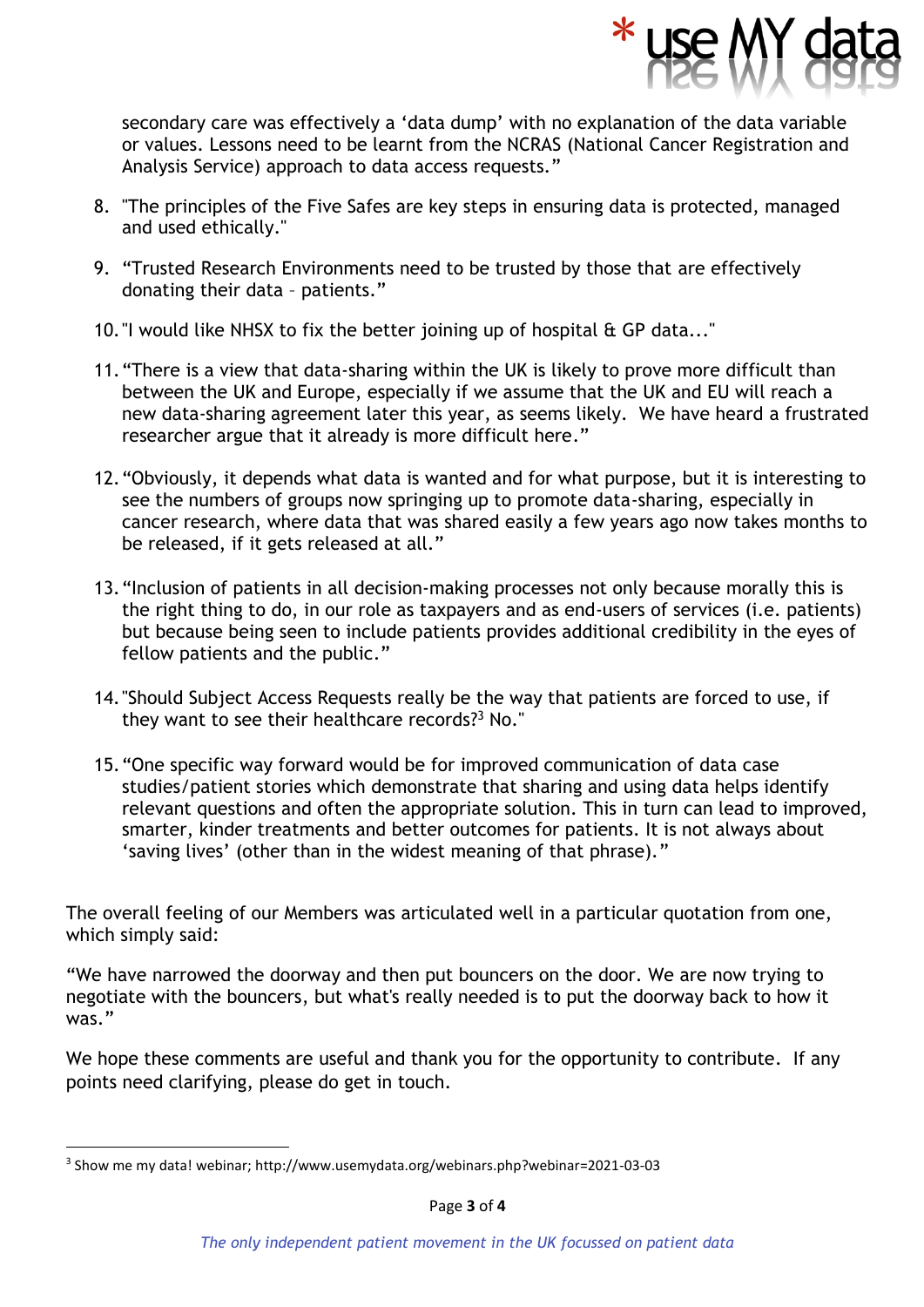

secondary care was effectively a 'data dump' with no explanation of the data variable or values. Lessons need to be learnt from the NCRAS (National Cancer Registration and Analysis Service) approach to data access requests."

- 8. "The principles of the Five Safes are key steps in ensuring data is protected, managed and used ethically."
- 9. "Trusted Research Environments need to be trusted by those that are effectively donating their data – patients."
- 10."I would like NHSX to fix the better joining up of hospital & GP data..."
- 11."There is a view that data-sharing within the UK is likely to prove more difficult than between the UK and Europe, especially if we assume that the UK and EU will reach a new data-sharing agreement later this year, as seems likely. We have heard a frustrated researcher argue that it already is more difficult here."
- 12."Obviously, it depends what data is wanted and for what purpose, but it is interesting to see the numbers of groups now springing up to promote data-sharing, especially in cancer research, where data that was shared easily a few years ago now takes months to be released, if it gets released at all."
- 13."Inclusion of patients in all decision-making processes not only because morally this is the right thing to do, in our role as taxpayers and as end-users of services (i.e. patients) but because being seen to include patients provides additional credibility in the eyes of fellow patients and the public."
- 14."Should Subject Access Requests really be the way that patients are forced to use, if they want to see their healthcare records? <sup>3</sup> No."
- 15."One specific way forward would be for improved communication of data case studies/patient stories which demonstrate that sharing and using data helps identify relevant questions and often the appropriate solution. This in turn can lead to improved, smarter, kinder treatments and better outcomes for patients. It is not always about 'saving lives' (other than in the widest meaning of that phrase)."

The overall feeling of our Members was articulated well in a particular quotation from one, which simply said:

"We have narrowed the doorway and then put bouncers on the door. We are now trying to negotiate with the bouncers, but what's really needed is to put the doorway back to how it was."

We hope these comments are useful and thank you for the opportunity to contribute. If any points need clarifying, please do get in touch.

<sup>3</sup> Show me my data! webinar; http://www.usemydata.org/webinars.php?webinar=2021-03-03